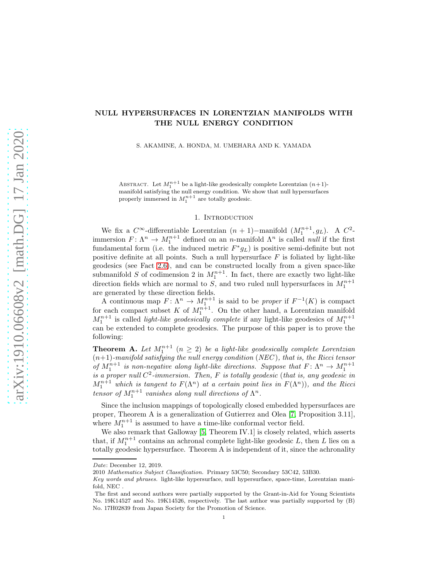# NULL HYPERSURFACES IN LORENTZIAN MANIFOLDS WITH THE NULL ENERGY CONDITION

S. AKAMINE, A. HONDA, M. UMEHARA AND K. YAMADA

ABSTRACT. Let  $M_1^{n+1}$  be a light-like geodesically complete Lorentzian  $(n+1)$ -ABSTRACT. Let  $M_1$  be a light-like geodesically complete Lorentzian  $(n+1)$ -<br>manifold satisfying the null energy condition. We show that null hypersurfaces<br>properly immersed in  $M_1^{n+1}$  are totally geodesic.

### 1. INTRODUCTION

We fix a  $C^{\infty}$ -differentiable Lorentzian  $(n + 1)$ -manifold  $(M_1^{n+1}, g_L)$ . A  $C^2$ immersion  $F: \Lambda^n \to M_1^{n+1}$  defined on an n-manifold  $\Lambda^n$  is called *null* if the first fundamental form (i.e. the induced metric  $F^*g_L$ ) is positive semi-definite but not positive definite at all points. Such a null hypersurface  $F$  is foliated by light-like geodesics (see Fact [2.6\)](#page-2-0), and can be constructed locally from a given space-like submanifold S of codimension 2 in  $M_1^{n+1}$ . In fact, there are exactly two light-like direction fields which are normal to  $S$ , and two ruled null hypersurfaces in  $M_1^{n+1}$ are generated by these direction fields.

A continuous map  $F: \Lambda^n \to M^{n+1}_{1}$  is said to be proper if  $F^{-1}(K)$  is compact for each compact subset K of  $M_1^{n+1}$ . On the other hand, a Lorentzian manifold  $M_1^{n+1}$  is called *light-like geodesically complete* if any light-like geodesics of  $M_1^{n+1}$ can be extended to complete geodesics. The purpose of this paper is to prove the following:

**Theorem A.** Let  $M_1^{n+1}$   $(n \geq 2)$  be a light-like geodesically complete Lorentzian  $(n+1)$ -manifold satisfying the null energy condition (NEC), that is, the Ricci tensor of  $M_1^{n+1}$  is non-negative along light-like directions. Suppose that  $F: \Lambda^n \to M_1^{n+1}$  is a proper null  $C^2$ -immersion. Then,  $F$  is totally geodesic (that is, any geodesic in  $M_1^{n+1}$  which is tangent to  $F(\Lambda^n)$  at a certain point lies in  $F(\Lambda^n)$ ), and the Ricci tensor of  $M_1^{n+1}$  vanishes along null directions of  $\Lambda^n$ .

Since the inclusion mappings of topologically closed embedded hypersurfaces are proper, Theorem A is a generalization of Gutierrez and Olea [\[7,](#page-7-0) Proposition 3.11], where  $M_1^{n+1}$  is assumed to have a time-like conformal vector field.

We also remark that Galloway [\[5,](#page-7-1) Theorem IV.1] is closely related, which asserts that, if  $M_1^{n+1}$  contains an achronal complete light-like geodesic L, then L lies on a totally geodesic hypersurface. Theorem A is independent of it, since the achronality

Date: December 12, 2019.

<sup>2010</sup> Mathematics Subject Classification. Primary 53C50; Secondary 53C42, 53B30.

Key words and phrases. light-like hypersurface, null hypersurface, space-time, Lorentzian manifold, NEC .

The first and second authors were partially supported by the Grant-in-Aid for Young Scientists No. 19K14527 and No. 19K14526, respectively. The last author was partially supported by (B) No. 17H02839 from Japan Society for the Promotion of Science.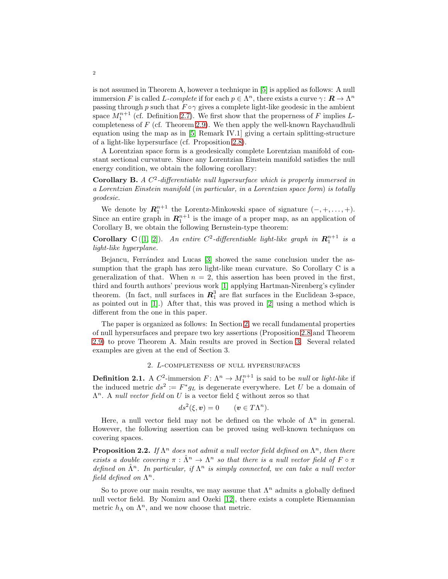is not assumed in Theorem A, however a technique in [\[5\]](#page-7-1) is applied as follows: A null immersion F is called L-complete if for each  $p \in \Lambda^n$ , there exists a curve  $\gamma: \mathbf{R} \to \Lambda^n$ passing through p such that  $F \circ \gamma$  gives a complete light-like geodesic in the ambient space  $M_1^{n+1}$  (cf. Definition [2.7\)](#page-2-1). We first show that the properness of F implies Lcompleteness of  $F$  (cf. Theorem [2.9\)](#page-3-0). We then apply the well-known Raychaudhuli equation using the map as in [\[5,](#page-7-1) Remark IV.1] giving a certain splitting-structure of a light-like hypersurface (cf. Proposition [2.8\)](#page-2-2).

A Lorentzian space form is a geodesically complete Lorentzian manifold of constant sectional curvature. Since any Lorentzian Einstein manifold satisfies the null energy condition, we obtain the following corollary:

**Corollary B.** A  $C^2$ -differentiable null hypersurface which is properly immersed in a Lorentzian Einstein manifold (in particular, in a Lorentzian space form) is totally geodesic.

We denote by  $\mathbf{R}_1^{n+1}$  the Lorentz-Minkowski space of signature  $(-, +, \ldots, +)$ . Since an entire graph in  $\mathbb{R}_1^{n+1}$  is the image of a proper map, as an application of Corollary B, we obtain the following Bernstein-type theorem:

**Corollary C**([\[1,](#page-7-2) [2\]](#page-7-3)). An entire  $C^2$ -differentiable light-like graph in  $\mathbb{R}^{n+1}$  is a light-like hyperplane.

Bejancu, Ferrández and Lucas [\[3\]](#page-7-4) showed the same conclusion under the assumption that the graph has zero light-like mean curvature. So Corollary C is a generalization of that. When  $n = 2$ , this assertion has been proved in the first, third and fourth authors' previous work [\[1\]](#page-7-2) applying Hartman-Nirenberg's cylinder theorem. (In fact, null surfaces in  $\mathbb{R}^3_1$  are flat surfaces in the Euclidean 3-space, as pointed out in [\[1\]](#page-7-2).) After that, this was proved in [\[2\]](#page-7-3) using a method which is different from the one in this paper.

The paper is organized as follows: In Section [2,](#page-1-0) we recall fundamental properties of null hypersurfaces and prepare two key assertions (Proposition [2.8](#page-2-2) and Theorem [2.9\)](#page-3-0) to prove Theorem A. Main results are proved in Section [3.](#page-4-0) Several related examples are given at the end of Section 3.

#### 2. L-completeness of null hypersurfaces

<span id="page-1-0"></span>**Definition 2.1.** A  $C^2$ -immersion  $F: \Lambda^n \to M_1^{n+1}$  is said to be *null* or *light-like* if the induced metric  $ds^2 := F^* g_L$  is degenerate everywhere. Let U be a domain of  $\Lambda^n$ . A null vector field on U is a vector field  $\xi$  without zeros so that

$$
ds^2(\xi, \mathbf{v}) = 0 \qquad (\mathbf{v} \in T\Lambda^n).
$$

Here, a null vector field may not be defined on the whole of  $\Lambda^n$  in general. However, the following assertion can be proved using well-known techniques on covering spaces.

**Proposition 2.2.** If  $\Lambda^n$  does not admit a null vector field defined on  $\Lambda^n$ , then there exists a double covering  $\pi : \hat{\Lambda}^n \to \Lambda^n$  so that there is a null vector field of  $F \circ \pi$ defined on  $\hat{\Lambda}^n$ . In particular, if  $\Lambda^n$  is simply connected, we can take a null vector field defined on  $\Lambda^n$ .

So to prove our main results, we may assume that  $\Lambda^n$  admits a globally defined null vector field. By Nomizu and Ozeki [\[12\]](#page-7-5), there exists a complete Riemannian metric  $h_{\Lambda}$  on  $\Lambda^n$ , and we now choose that metric.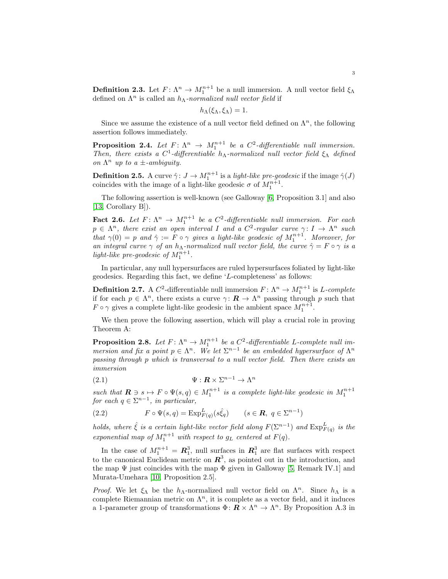**Definition 2.3.** Let  $F: \Lambda^n \to M_1^{n+1}$  be a null immersion. A null vector field  $\xi_{\Lambda}$ defined on  $\Lambda^n$  is called an  $h_{\Lambda}$ -normalized null vector field if

$$
h_{\Lambda}(\xi_{\Lambda}, \xi_{\Lambda}) = 1.
$$

Since we assume the existence of a null vector field defined on  $\Lambda^n$ , the following assertion follows immediately.

**Proposition 2.4.** Let  $F: \Lambda^n \to M_1^{n+1}$  be a  $C^2$ -differentiable null immersion. Then, there exists a  $C^1$ -differentiable  $h_{\Lambda}$ -normalized null vector field  $\xi_{\Lambda}$  defined on  $\Lambda^n$  up to a  $\pm$ -ambiguity.

**Definition 2.5.** A curve  $\hat{\gamma}$ :  $J \to M_1^{n+1}$  is a *light-like pre-geodesic* if the image  $\hat{\gamma}(J)$ coincides with the image of a light-like geodesic  $\sigma$  of  $M_1^{n+1}$ .

The following assertion is well-known (see Galloway [\[6,](#page-7-6) Proposition 3.1] and also [\[13,](#page-7-7) Corollary B]).

<span id="page-2-0"></span>**Fact 2.6.** Let  $F: \Lambda^n \to M_1^{n+1}$  be a  $C^2$ -differentiable null immersion. For each  $p \in \Lambda^n$ , there exist an open interval I and a  $C^2$ -regular curve  $\gamma: I \to \Lambda^n$  such that  $\gamma(0) = p$  and  $\hat{\gamma} := F \circ \gamma$  gives a light-like geodesic of  $M_1^{n+1}$ . Moreover, for an integral curve  $\gamma$  of an  $h_{\Lambda}$ -normalized null vector field, the curve  $\hat{\gamma} = F \circ \gamma$  is a light-like pre-geodesic of  $M_1^{n+1}$ .

In particular, any null hypersurfaces are ruled hypersurfaces foliated by light-like geodesics. Regarding this fact, we define 'L-completeness' as follows:

<span id="page-2-1"></span>**Definition 2.7.** A  $C^2$ -differentiable null immersion  $F: \Lambda^n \to M_1^{n+1}$  is L-complete if for each  $p \in \Lambda^n$ , there exists a curve  $\gamma: \mathbf{R} \to \Lambda^n$  passing through p such that  $F \circ \gamma$  gives a complete light-like geodesic in the ambient space  $M_1^{n+1}$ .

We then prove the following assertion, which will play a crucial role in proving Theorem A:

<span id="page-2-2"></span>**Proposition 2.8.** Let  $F: \Lambda^n \to M_1^{n+1}$  be a  $C^2$ -differentiable L-complete null immersion and fix a point  $p \in \Lambda^n$ . We let  $\Sigma^{n-1}$  be an embedded hypersurface of  $\Lambda^n$ passing through p which is transversal to a null vector field. Then there exists an immersion

(2.1) 
$$
\Psi : \mathbf{R} \times \Sigma^{n-1} \to \Lambda^n
$$

such that  $\mathbf{R} \ni s \mapsto F \circ \Psi(s,q) \in M_1^{n+1}$  is a complete light-like geodesic in  $M_1^{n+1}$ for each  $q \in \sum^{n-1}$ , in particular,

<span id="page-2-3"></span>(2.2) 
$$
F \circ \Psi(s, q) = \text{Exp}_{F(q)}^L(s\hat{\xi}_q) \qquad (s \in \mathbf{R}, q \in \Sigma^{n-1})
$$

holds, where  $\hat{\xi}$  is a certain light-like vector field along  $F(\Sigma^{n-1})$  and  $\text{Exp}_{F(q)}^L$  is the exponential map of  $M_1^{n+1}$  with respect to  $g_L$  centered at  $F(q)$ .

In the case of  $M_1^{n+1} = \mathbb{R}_1^3$ , null surfaces in  $\mathbb{R}_1^3$  are flat surfaces with respect to the canonical Euclidean metric on  $\mathbb{R}^3$ , as pointed out in the introduction, and the map  $\Psi$  just coincides with the map  $\Phi$  given in Galloway [\[5,](#page-7-1) Remark IV.1] and Murata-Umehara [\[10,](#page-7-8) Proposition 2.5].

*Proof.* We let  $\xi_{\Lambda}$  be the  $h_{\Lambda}$ -normalized null vector field on  $\Lambda^n$ . Since  $h_{\Lambda}$  is a complete Riemannian metric on  $\Lambda^n$ , it is complete as a vector field, and it induces a 1-parameter group of transformations  $\Phi: \mathbb{R} \times \Lambda^n \to \Lambda^n$ . By Proposition A.3 in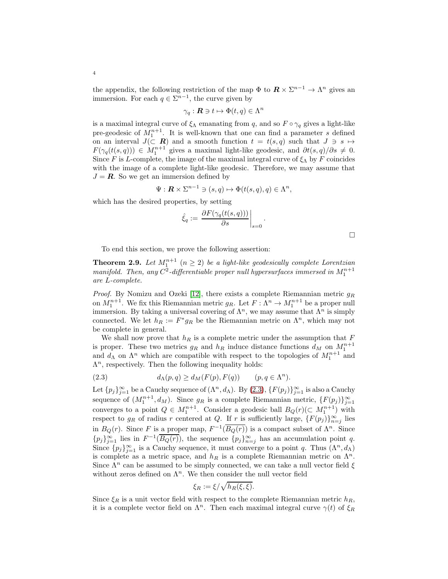the appendix, the following restriction of the map  $\Phi$  to  $\mathbf{R} \times \Sigma^{n-1} \to \Lambda^n$  gives an immersion. For each  $q \in \Sigma^{n-1}$ , the curve given by

$$
\gamma_q: \mathbf{R} \ni t \mapsto \Phi(t, q) \in \Lambda^n
$$

is a maximal integral curve of  $\xi_{\Lambda}$  emanating from q, and so  $F \circ \gamma_q$  gives a light-like pre-geodesic of  $M_1^{n+1}$ . It is well-known that one can find a parameter s defined on an interval  $J(\subset \mathbb{R})$  and a smooth function  $t = t(s, q)$  such that  $J \ni s \mapsto$  $F(\gamma_q(t(s,q))) \in M_1^{n+1}$  gives a maximal light-like geodesic, and  $\partial t(s,q)/\partial s \neq 0$ . Since F is L-complete, the image of the maximal integral curve of  $\xi_{\Lambda}$  by F coincides with the image of a complete light-like geodesic. Therefore, we may assume that  $J = \mathbf{R}$ . So we get an immersion defined by

$$
\Psi: \mathbf{R} \times \Sigma^{n-1} \ni (s, q) \mapsto \Phi(t(s, q), q) \in \Lambda^n,
$$

which has the desired properties, by setting

$$
\hat{\xi}_q := \left. \frac{\partial F(\gamma_q(t(s,q)))}{\partial s} \right|_{s=0}.
$$

 $\Box$ 

To end this section, we prove the following assertion:

<span id="page-3-0"></span>**Theorem 2.9.** Let  $M_1^{n+1}$   $(n \geq 2)$  be a light-like geodesically complete Lorentzian manifold. Then, any  $C^2$ -differentiable proper null hypersurfaces immersed in  $M_1^{n+1}$ are L-complete.

*Proof.* By Nomizu and Ozeki [\[12\]](#page-7-5), there exists a complete Riemannian metric  $g_R$ on  $M_1^{n+1}$ . We fix this Riemannian metric  $g_R$ . Let  $F: \Lambda^n \to M_1^{n+1}$  be a proper null immersion. By taking a universal covering of  $\Lambda^n$ , we may assume that  $\Lambda^n$  is simply connected. We let  $h_R := F^* g_R$  be the Riemannian metric on  $\Lambda^n$ , which may not be complete in general.

We shall now prove that  $h_R$  is a complete metric under the assumption that  $F$ is proper. These two metrics  $g_R$  and  $h_R$  induce distance functions  $d_M$  on  $M_1^{n+1}$ and  $d_{\Lambda}$  on  $\Lambda^n$  which are compatible with respect to the topologies of  $M_1^{n+1}$  and  $\Lambda^n$ , respectively. Then the following inequality holds:

<span id="page-3-1"></span>(2.3) 
$$
d_{\Lambda}(p,q) \geq d_M(F(p), F(q)) \qquad (p,q \in \Lambda^n).
$$

Let  $\{p_j\}_{j=1}^{\infty}$  be a Cauchy sequence of  $(\Lambda^n, d_\Lambda)$ . By  $(2.3)$ ,  $\{F(p_j)\}_{j=1}^{\infty}$  is also a Cauchy sequence of  $(M_1^{n+1}, d_M)$ . Since  $g_R$  is a complete Riemannian metric,  $\{F(p_j)\}_{j=1}^{\infty}$ converges to a point  $Q \in M_1^{n+1}$ . Consider a geodesic ball  $B_Q(r)$  ( $\subset M_1^{n+1}$ ) with respect to  $g_R$  of radius r centered at Q. If r is sufficiently large,  $\{F(p_j)\}_{n=j}^{\infty}$  lies in  $B_Q(r)$ . Since F is a proper map,  $F^{-1}(\overline{B_Q(r)})$  is a compact subset of  $\Lambda^n$ . Since  ${p_j}_{j=1}^{\infty}$  lies in  $F^{-1}(\overline{B_Q(r)})$ , the sequence  ${p_j}_{n=j}^{\infty}$  has an accumulation point q. Since  ${p_j}_{j=1}^{\infty}$  is a Cauchy sequence, it must converge to a point q. Thus  $(\Lambda^n, d_\Lambda)$ is complete as a metric space, and  $h_R$  is a complete Riemannian metric on  $\Lambda^n$ . Since  $\Lambda^n$  can be assumed to be simply connected, we can take a null vector field  $\xi$ without zeros defined on  $\Lambda^n$ . We then consider the null vector field

$$
\xi_R := \xi / \sqrt{h_R(\xi, \xi)}.
$$

Since  $\xi_R$  is a unit vector field with respect to the complete Riemannian metric  $h_R$ , it is a complete vector field on  $\Lambda^n$ . Then each maximal integral curve  $\gamma(t)$  of  $\xi_R$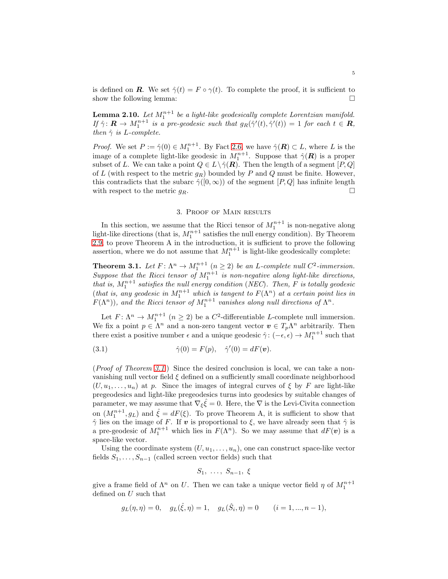is defined on **R**. We set  $\hat{\gamma}(t) = F \circ \gamma(t)$ . To complete the proof, it is sufficient to show the following lemma:

**Lemma 2.10.** Let  $M_1^{n+1}$  be a light-like geodesically complete Lorentzian manifold. If  $\hat{\gamma} \colon \mathbf{R} \to M_1^{n+1}$  is a pre-geodesic such that  $g_R(\hat{\gamma}'(t), \hat{\gamma}'(t)) = 1$  for each  $t \in \mathbf{R}$ , then  $\hat{\gamma}$  is L-complete.

*Proof.* We set  $P := \hat{\gamma}(0) \in M_1^{n+1}$ . By Fact [2.6,](#page-2-0) we have  $\hat{\gamma}(\mathbf{R}) \subset L$ , where L is the image of a complete light-like geodesic in  $M_1^{n+1}$ . Suppose that  $\hat{\gamma}(\mathbf{R})$  is a proper subset of L. We can take a point  $Q \in L \setminus \hat{\gamma}(R)$ . Then the length of a segment  $[P,Q]$ of  $L$  (with respect to the metric  $g_R$ ) bounded by  $P$  and  $Q$  must be finite. However, this contradicts that the subarc  $\hat{\gamma}([0,\infty))$  of the segment  $[P,Q]$  has infinite length with respect to the metric  $q_R$ .

### 3. Proof of Main results

<span id="page-4-0"></span>In this section, we assume that the Ricci tensor of  $M_1^{n+1}$  is non-negative along light-like directions (that is,  $M_1^{n+1}$  satisfies the null energy condition). By Theorem [2.9,](#page-3-0) to prove Theorem A in the introduction, it is sufficient to prove the following assertion, where we do not assume that  $M_1^{n+1}$  is light-like geodesically complete:

<span id="page-4-1"></span>**Theorem 3.1.** Let  $F: \Lambda^n \to M_1^{n+1}$   $(n \geq 2)$  be an L-complete null  $C^2$ -immersion. Suppose that the Ricci tensor of  $M_1^{n+1}$  is non-negative along light-like directions, that is,  $M_1^{n+1}$  satisfies the null energy condition (NEC). Then, F is totally geodesic (that is, any geodesic in  $M_1^{n+1}$  which is tangent to  $F(\Lambda^n)$  at a certain point lies in  $F(\Lambda^n)$ , and the Ricci tensor of  $M_1^{n+1}$  vanishes along null directions of  $\Lambda^n$ .

Let  $F: \Lambda^n \to M_1^{n+1}$   $(n \geq 2)$  be a  $C^2$ -differentiable L-complete null immersion. We fix a point  $p \in \Lambda^n$  and a non-zero tangent vector  $\mathbf{v} \in T_p \Lambda^n$  arbitrarily. Then there exist a positive number  $\epsilon$  and a unique geodesic  $\hat{\gamma}$ :  $(-\epsilon, \epsilon) \to M_1^{n+1}$  such that

(3.1) 
$$
\hat{\gamma}(0) = F(p), \quad \hat{\gamma}'(0) = dF(\boldsymbol{v}).
$$

(Proof of Theorem [3.1](#page-4-1).) Since the desired conclusion is local, we can take a nonvanishing null vector field  $\xi$  defined on a sufficiently small coordinate neighborhood  $(U, u_1, \ldots, u_n)$  at p. Since the images of integral curves of  $\xi$  by F are light-like pregeodesics and light-like pregeodesics turns into geodesics by suitable changes of parameter, we may assume that  $\nabla_{\xi} \hat{\xi} = 0$ . Here, the  $\nabla$  is the Levi-Civita connection on  $(M_1^{n+1}, g_L)$  and  $\hat{\xi} = dF(\xi)$ . To prove Theorem A, it is sufficient to show that  $\hat{\gamma}$  lies on the image of F. If v is proportional to  $\xi$ , we have already seen that  $\hat{\gamma}$  is a pre-geodesic of  $M_1^{n+1}$  which lies in  $F(\Lambda^n)$ . So we may assume that  $dF(\boldsymbol{v})$  is a space-like vector.

Using the coordinate system  $(U, u_1, \ldots, u_n)$ , one can construct space-like vector fields  $S_1, \ldots, S_{n-1}$  (called screen vector fields) such that

$$
S_1, \ldots, S_{n-1}, \xi
$$

give a frame field of  $\Lambda^n$  on U. Then we can take a unique vector field  $\eta$  of  $M_1^{n+1}$ defined on U such that

$$
g_L(\eta, \eta) = 0
$$
,  $g_L(\hat{\xi}, \eta) = 1$ ,  $g_L(\hat{S}_i, \eta) = 0$   $(i = 1, ..., n - 1)$ ,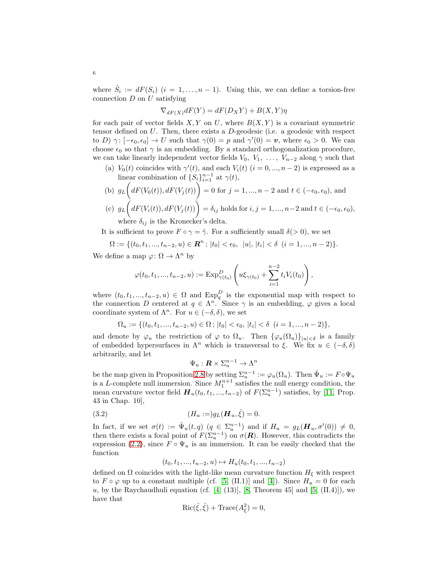where  $\hat{S}_i := dF(S_i)$   $(i = 1, ..., n-1)$ . Using this, we can define a torsion-free connection  $D$  on  $U$  satisfying

$$
\nabla_{dF(X)}dF(Y) = dF(D_XY) + B(X,Y)\eta
$$

for each pair of vector fields  $X, Y$  on U, where  $B(X, Y)$  is a covariant symmetric tensor defined on  $U$ . Then, there exists a  $D$ -geodesic (i.e. a geodesic with respect to D)  $\gamma: [-\epsilon_0, \epsilon_0] \to U$  such that  $\gamma(0) = p$  and  $\gamma'(0) = v$ , where  $\epsilon_0 > 0$ . We can choose  $\epsilon_0$  so that  $\gamma$  is an embedding. By a standard orthogonalization procedure, we can take linearly independent vector fields  $V_0, V_1, \ldots, V_{n-2}$  along  $\gamma$  such that

(a)  $V_0(t)$  coincides with  $\gamma'(t)$ , and each  $V_i(t)$   $(i = 0, ..., n-2)$  is expressed as a linear combination of  $\{S_i\}_{i=1}^{n-1}$  at  $\gamma(t)$ ,

(b) 
$$
g_L\left(dF(V_0(t)), dF(V_j(t))\right) = 0
$$
 for  $j = 1, \ldots, n-2$  and  $t \in (-\epsilon_0, \epsilon_0)$ , and\n(c)  $g_L\left(dF(V_i(t)), dF(V_j(t))\right) = \delta_{ij}$  holds for  $i, j = 1, \ldots, n-2$  and  $t \in (-\epsilon_0, \epsilon_0)$ .

(c) 
$$
g_L(dF(V_i(t)), dF(V_j(t))) = \delta_{ij}
$$
 holds for  $i, j = 1, ..., n-2$  and  $t \in (-\epsilon_0, \epsilon_0)$ ,  
where  $\delta_{ij}$  is the Kronecker's delta.

It is sufficient to prove  $F \circ \gamma = \hat{\gamma}$ . For a sufficiently small  $\delta(> 0)$ , we set

$$
\Omega := \{ (t_0, t_1, ..., t_{n-2}, u) \in \mathbf{R}^n \, ; \, |t_0| < \epsilon_0, \, |u|, |t_i| < \delta \, (i = 1, ..., n-2) \}.
$$

We define a map  $\varphi \colon \Omega \to \Lambda^n$  by

$$
\varphi(t_0, t_1, ..., t_{n-2}, u) := \mathrm{Exp}^D_{\gamma(t_0)} \left( u\xi_{\gamma(t_0)} + \sum_{i=1}^{n-2} t_i V_i(t_0) \right),
$$

where  $(t_0, t_1, ..., t_{n-2}, u) \in \Omega$  and  $Exp_q^D$  is the exponential map with respect to the connection D centered at  $q \in \Lambda^n$ . Since  $\gamma$  is an embedding,  $\varphi$  gives a local coordinate system of  $\Lambda^n$ . For  $u \in (-\delta, \delta)$ , we set

$$
\Omega_u := \{ (t_0, t_1, ..., t_{n-2}, u) \in \Omega \, ; \, |t_0| < \epsilon_0, \, |t_i| < \delta \, (i = 1, ..., n-2) \},
$$

and denote by  $\varphi_u$  the restriction of  $\varphi$  to  $\Omega_u$ . Then  $\{\varphi_u(\Omega_u)\}_{|u|<\delta}$  is a family of embedded hypersurfaces in  $\Lambda^n$  which is transversal to  $\xi$ . We fix  $u \in (-\delta, \delta)$ arbitrarily, and let

$$
\Psi_u: \mathbf{R} \times \Sigma_u^{n-1} \to \Lambda^n
$$

be the map given in Proposition [2.8](#page-2-2) by setting  $\Sigma_u^{n-1} := \varphi_u(\Omega_u)$ . Then  $\hat{\Psi}_u := F \circ \Psi_u$ is a L-complete null immersion. Since  $M_1^{n+1}$  satisfies the null energy condition, the mean curvature vector field  $\boldsymbol{H}_u(t_0, t_1, ..., t_{n-2})$  of  $F(\Sigma_u^{n-1})$  satisfies, by [\[11,](#page-7-9) Prop. 43 in Chap. 10],

(3.2) 
$$
(H_u :=) g_L(\mathbf{H}_u, \hat{\xi}) = 0.
$$

In fact, if we set  $\sigma(t) := \hat{\Psi}_u(t,q)$   $(q \in \Sigma_u^{n-1})$  and if  $H_u = g_L(\boldsymbol{H}_u, \sigma'(0)) \neq 0$ , then there exists a focal point of  $F(\Sigma_{u}^{n-1})$  on  $\sigma(\mathbf{R})$ . However, this contradicts the expression [\(2.2\)](#page-2-3), since  $F \circ \Psi_u$  is an immersion. It can be easily checked that the function

$$
(t_0, t_1, ..., t_{n-2}, u) \mapsto H_u(t_0, t_1, ..., t_{n-2})
$$

defined on  $\Omega$  coincides with the light-like mean curvature function  $H_{\xi}$  with respect to  $F \circ \varphi$  up to a constant multiple (cf. [\[5,](#page-7-1) (II.1)] and [\[4\]](#page-7-10)). Since  $H_u = 0$  for each  $u$ , by the Raychaudhuli equation (cf.  $[4, (13)]$ ,  $[8,$  Theorem 45] and  $[5, (II.4)]$ , we have that

$$
Ric(\hat{\xi}, \hat{\xi}) + Trace(A_{\xi}^2) = 0,
$$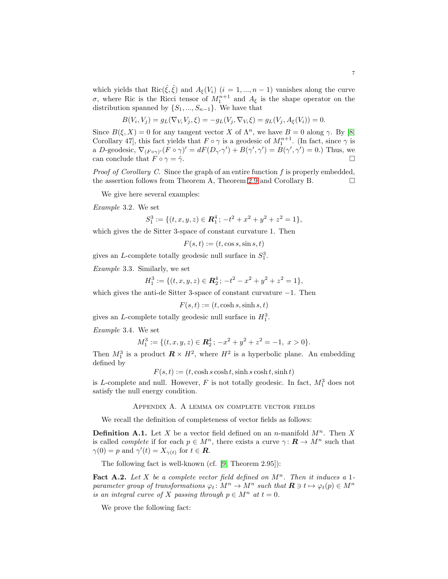which yields that Ric( $\hat{\xi}, \hat{\xi}$ ) and  $A_{\xi}(V_i)$  (i = 1, ..., n – 1) vanishes along the curve σ, where Ric is the Ricci tensor of  $M_1^{n+1}$  and  $A_\xi$  is the shape operator on the distribution spanned by  $\{S_1, ..., S_{n-1}\}$ . We have that

$$
B(V_i, V_j) = g_L(\nabla_{V_i} V_j, \xi) = -g_L(V_j, \nabla_{V_i} \xi) = g_L(V_j, A_{\xi}(V_i)) = 0.
$$

Since  $B(\xi, X) = 0$  for any tangent vector X of  $\Lambda^n$ , we have  $B = 0$  along  $\gamma$ . By [\[8,](#page-7-11) Corollary 47, this fact yields that  $F \circ \gamma$  is a geodesic of  $M_1^{n+1}$ . (In fact, since  $\gamma$  is a D-geodesic,  $\nabla_{(F \circ \gamma)}(F \circ \gamma)' = dF(D_{\gamma'}\gamma') + B(\gamma', \gamma') = B(\gamma', \gamma') = 0$ .) Thus, we can conclude that  $F \circ \gamma = \hat{\gamma}$ .

*Proof of Corollary C.* Since the graph of an entire function  $f$  is properly embedded, the assertion follows from Theorem A, Theorem [2.9](#page-3-0) and Corollary B.

We give here several examples:

Example 3.2. We set

$$
S_1^3 := \{ (t, x, y, z) \in \mathbb{R}_1^4 \, ; \, -t^2 + x^2 + y^2 + z^2 = 1 \},
$$

which gives the de Sitter 3-space of constant curvature 1. Then

 $F(s,t) := (t, \cos s, \sin s, t)$ 

gives an *L*-complete totally geodesic null surface in  $S_1^3$ .

Example 3.3. Similarly, we set

$$
H_1^3 := \{ (t, x, y, z) \in \mathbb{R}_2^4 \, ; \, -t^2 - x^2 + y^2 + z^2 = 1 \},
$$

which gives the anti-de Sitter 3-space of constant curvature −1. Then

 $F(s,t) := (t, \cosh s, \sinh s, t)$ 

gives an L-complete totally geodesic null surface in  $H_1^3$ .

Example 3.4. We set

$$
M_1^3 := \{ (t, x, y, z) \in \mathbb{R}_2^4 \, ; \, -x^2 + y^2 + z^2 = -1, \ x > 0 \}.
$$

Then  $M_1^3$  is a product  $\mathbf{R} \times H^2$ , where  $H^2$  is a hyperbolic plane. An embedding defined by

 $F(s, t) := (t, \cosh s \cosh t, \sinh s \cosh t, \sinh t)$ 

is L-complete and null. However,  $F$  is not totally geodesic. In fact,  $M_1^3$  does not satisfy the null energy condition.

## Appendix A. A lemma on complete vector fields

We recall the definition of completeness of vector fields as follows:

**Definition A.1.** Let X be a vector field defined on an n-manifold  $M^n$ . Then X is called *complete* if for each  $p \in M^n$ , there exists a curve  $\gamma: \mathbf{R} \to M^n$  such that  $\gamma(0) = p$  and  $\gamma'(t) = X_{\gamma(t)}$  for  $t \in \mathbb{R}$ .

The following fact is well-known (cf. [\[9,](#page-7-12) Theorem 2.95]):

**Fact A.2.** Let X be a complete vector field defined on  $M^n$ . Then it induces a 1parameter group of transformations  $\varphi_t \colon M^n \to M^n$  such that  $\mathbf{R} \ni t \mapsto \varphi_t(p) \in M^n$ is an integral curve of X passing through  $p \in M^n$  at  $t = 0$ .

We prove the following fact: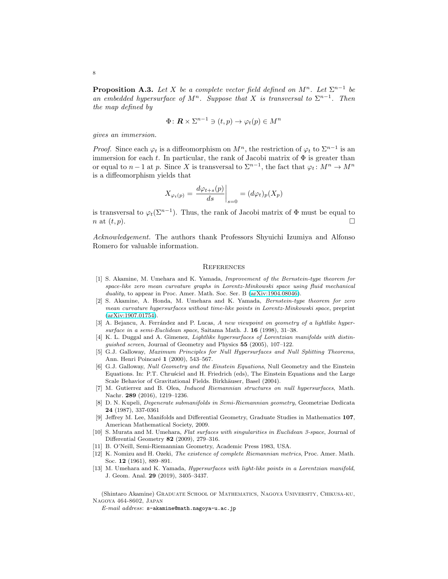**Proposition A.3.** Let X be a complete vector field defined on  $M^n$ . Let  $\Sigma^{n-1}$  be an embedded hypersurface of  $M^n$ . Suppose that X is transversal to  $\Sigma^{n-1}$ . Then the map defined by

$$
\Phi \colon \mathbf{R} \times \Sigma^{n-1} \ni (t, p) \to \varphi_t(p) \in M^n
$$

gives an immersion.

*Proof.* Since each  $\varphi_t$  is a diffeomorphism on  $M^n$ , the restriction of  $\varphi_t$  to  $\Sigma^{n-1}$  is an immersion for each t. In particular, the rank of Jacobi matrix of  $\Phi$  is greater than or equal to  $n-1$  at p. Since X is transversal to  $\Sigma^{n-1}$ , the fact that  $\varphi_t \colon M^n \to M^n$ is a diffeomorphism yields that

$$
X_{\varphi_t(p)} = \left. \frac{d\varphi_{t+s}(p)}{ds} \right|_{s=0} = (d\varphi_t)_p(X_p)
$$

is transversal to  $\varphi_t(\Sigma^{n-1})$ . Thus, the rank of Jacobi matrix of  $\Phi$  must be equal to n at  $(t, p)$ .

Acknowledgement. The authors thank Professors Shyuichi Izumiya and Alfonso Romero for valuable information.

#### **REFERENCES**

- <span id="page-7-2"></span>[1] S. Akamine, M. Umehara and K. Yamada, Improvement of the Bernstein-type theorem for space-like zero mean curvature graphs in Lorentz-Minkowski space using fluid mechanical duality, to appear in Proc. Amer. Math. Soc. Ser. B [\(arXiv:1904.08046\)](http://arxiv.org/abs/1904.08046).
- <span id="page-7-3"></span>[2] S. Akamine, A. Honda, M. Umehara and K. Yamada, Bernstein-type theorem for zero mean curvature hypersurfaces without time-like points in Lorentz-Minkowski space, preprint [\(arXiv:1907.01754\)](http://arxiv.org/abs/1907.01754).
- <span id="page-7-4"></span>[3] A. Bejancu, A. Ferrández and P. Lucas, A new viewpoint on geometry of a lightlike hypersurface in a semi-Euclidean space, Saitama Math. J. 16 (1998), 31–38.
- <span id="page-7-10"></span>[4] K. L. Duggal and A. Gimenez, Lightlike hypersurfaces of Lorentzian manifolds with distinguished screen, Journal of Geometry and Physics 55 (2005), 107–122.
- <span id="page-7-1"></span>[5] G.J. Galloway, Maximum Principles for Null Hypersurfaces and Null Splitting Theorems, Ann. Henri Poincaré 1 (2000), 543-567.
- <span id="page-7-6"></span>[6] G.J. Galloway, Null Geometry and the Einstein Equations, Null Geometry and the Einstein Equations. In: P.T. Chrusciel and H. Friedrich (eds), The Einstein Equations and the Large Scale Behavior of Gravitational Fields. Birkhäuser, Basel (2004).
- <span id="page-7-0"></span>[7] M. Gutierrez and B. Olea, Induced Riemannian structures on null hypersurfaces, Math. Nachr. 289 (2016), 1219–1236.
- <span id="page-7-11"></span>[8] D. N. Kupeli, Degenerate submanifolds in Semi-Riemannian geometry, Geometriae Dedicata 24 (1987), 337-0361
- <span id="page-7-12"></span>[9] Jeffrey M. Lee, Manifolds and Differential Geometry, Graduate Studies in Mathematics 107, American Mathematical Society, 2009.
- <span id="page-7-8"></span>[10] S. Murata and M. Umehara, Flat surfaces with singularities in Euclidean 3-space, Journal of Differential Geometry 82 (2009), 279–316.
- <span id="page-7-9"></span><span id="page-7-5"></span>[11] B. O'Neill, Semi-Riemannian Geometry, Academic Press 1983, USA.
- [12] K. Nomizu and H. Ozeki, The existence of complete Riemannian metrics, Proc. Amer. Math. Soc. 12 (1961), 889–891.
- <span id="page-7-7"></span>[13] M. Umehara and K. Yamada, Hypersurfaces with light-like points in a Lorentzian manifold, J. Geom. Anal. 29 (2019), 3405–3437.

(Shintaro Akamine) Graduate School of Mathematics, Nagoya University, Chikusa-ku, Nagoya 464-8602, Japan

 $\it E\mbox{-}mail\;address\mbox{:}\; {\tt s\mbox{-}akamine@math>.}nagoya\mbox{-}u.ac\mbox{:}\;jp$